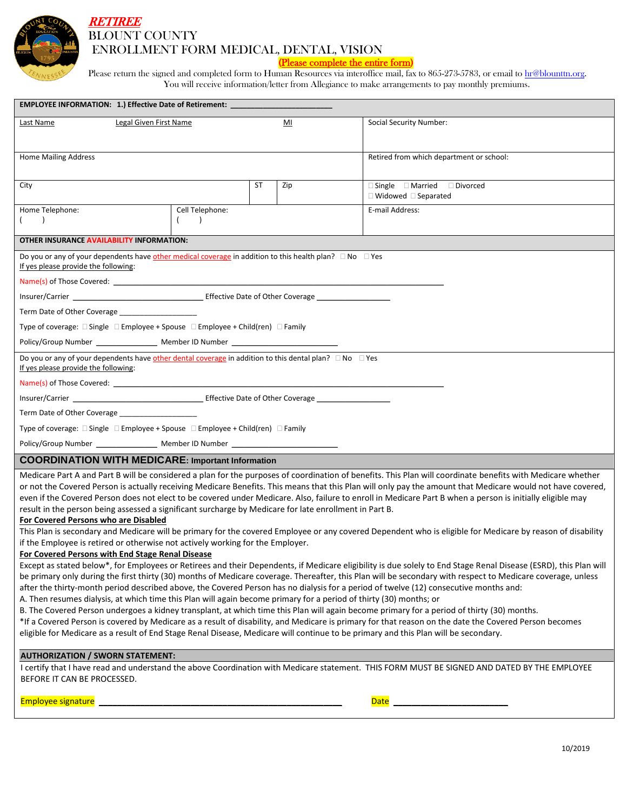

## **RETIREE** BLOUNT COUNTY ENROLLMENT FORM MEDICAL, DENTAL, VISION

## (Please complete the entire form)

Please return the signed and completed form to Human Resources via interoffice mail, fax to 865-273-5783, or email t[o hr@blounttn.org.](mailto:hr@blounttn.org) You will receive information/letter from Allegiance to make arrangements to pay monthly premiums.

| EMPLOYEE INFORMATION: 1.) Effective Date of Retirement: ________________________                                                                                                                                                                                                                                                                                                                                                                                                                                                                  |                 |    |     |                                                                                                                                                                                                                                                                                                                                                                                                                                                                                                                                                                                                                                                                                                                                                                                                                                                                                                                                                                                                                                                                                                                                                                                                                                                                                                                                                                                                                                           |  |  |
|---------------------------------------------------------------------------------------------------------------------------------------------------------------------------------------------------------------------------------------------------------------------------------------------------------------------------------------------------------------------------------------------------------------------------------------------------------------------------------------------------------------------------------------------------|-----------------|----|-----|-------------------------------------------------------------------------------------------------------------------------------------------------------------------------------------------------------------------------------------------------------------------------------------------------------------------------------------------------------------------------------------------------------------------------------------------------------------------------------------------------------------------------------------------------------------------------------------------------------------------------------------------------------------------------------------------------------------------------------------------------------------------------------------------------------------------------------------------------------------------------------------------------------------------------------------------------------------------------------------------------------------------------------------------------------------------------------------------------------------------------------------------------------------------------------------------------------------------------------------------------------------------------------------------------------------------------------------------------------------------------------------------------------------------------------------------|--|--|
| Legal Given First Name<br>Last Name                                                                                                                                                                                                                                                                                                                                                                                                                                                                                                               |                 |    | MI  | Social Security Number:                                                                                                                                                                                                                                                                                                                                                                                                                                                                                                                                                                                                                                                                                                                                                                                                                                                                                                                                                                                                                                                                                                                                                                                                                                                                                                                                                                                                                   |  |  |
|                                                                                                                                                                                                                                                                                                                                                                                                                                                                                                                                                   |                 |    |     |                                                                                                                                                                                                                                                                                                                                                                                                                                                                                                                                                                                                                                                                                                                                                                                                                                                                                                                                                                                                                                                                                                                                                                                                                                                                                                                                                                                                                                           |  |  |
| <b>Home Mailing Address</b>                                                                                                                                                                                                                                                                                                                                                                                                                                                                                                                       |                 |    |     | Retired from which department or school:                                                                                                                                                                                                                                                                                                                                                                                                                                                                                                                                                                                                                                                                                                                                                                                                                                                                                                                                                                                                                                                                                                                                                                                                                                                                                                                                                                                                  |  |  |
|                                                                                                                                                                                                                                                                                                                                                                                                                                                                                                                                                   |                 |    |     |                                                                                                                                                                                                                                                                                                                                                                                                                                                                                                                                                                                                                                                                                                                                                                                                                                                                                                                                                                                                                                                                                                                                                                                                                                                                                                                                                                                                                                           |  |  |
| City                                                                                                                                                                                                                                                                                                                                                                                                                                                                                                                                              |                 | ST | Zip | $\Box$ Single $\Box$ Married $\Box$ Divorced<br>$\Box$ Widowed $\Box$ Separated                                                                                                                                                                                                                                                                                                                                                                                                                                                                                                                                                                                                                                                                                                                                                                                                                                                                                                                                                                                                                                                                                                                                                                                                                                                                                                                                                           |  |  |
| Home Telephone:                                                                                                                                                                                                                                                                                                                                                                                                                                                                                                                                   | Cell Telephone: |    |     | E-mail Address:                                                                                                                                                                                                                                                                                                                                                                                                                                                                                                                                                                                                                                                                                                                                                                                                                                                                                                                                                                                                                                                                                                                                                                                                                                                                                                                                                                                                                           |  |  |
| $\lambda$                                                                                                                                                                                                                                                                                                                                                                                                                                                                                                                                         | $\lambda$       |    |     |                                                                                                                                                                                                                                                                                                                                                                                                                                                                                                                                                                                                                                                                                                                                                                                                                                                                                                                                                                                                                                                                                                                                                                                                                                                                                                                                                                                                                                           |  |  |
| OTHER INSURANCE AVAILABILITY INFORMATION:                                                                                                                                                                                                                                                                                                                                                                                                                                                                                                         |                 |    |     |                                                                                                                                                                                                                                                                                                                                                                                                                                                                                                                                                                                                                                                                                                                                                                                                                                                                                                                                                                                                                                                                                                                                                                                                                                                                                                                                                                                                                                           |  |  |
| Do you or any of your dependents have other medical coverage in addition to this health plan? $\square$ No $\square$ Yes<br>If yes please provide the following:                                                                                                                                                                                                                                                                                                                                                                                  |                 |    |     |                                                                                                                                                                                                                                                                                                                                                                                                                                                                                                                                                                                                                                                                                                                                                                                                                                                                                                                                                                                                                                                                                                                                                                                                                                                                                                                                                                                                                                           |  |  |
|                                                                                                                                                                                                                                                                                                                                                                                                                                                                                                                                                   |                 |    |     |                                                                                                                                                                                                                                                                                                                                                                                                                                                                                                                                                                                                                                                                                                                                                                                                                                                                                                                                                                                                                                                                                                                                                                                                                                                                                                                                                                                                                                           |  |  |
|                                                                                                                                                                                                                                                                                                                                                                                                                                                                                                                                                   |                 |    |     |                                                                                                                                                                                                                                                                                                                                                                                                                                                                                                                                                                                                                                                                                                                                                                                                                                                                                                                                                                                                                                                                                                                                                                                                                                                                                                                                                                                                                                           |  |  |
| Term Date of Other Coverage _______________________                                                                                                                                                                                                                                                                                                                                                                                                                                                                                               |                 |    |     |                                                                                                                                                                                                                                                                                                                                                                                                                                                                                                                                                                                                                                                                                                                                                                                                                                                                                                                                                                                                                                                                                                                                                                                                                                                                                                                                                                                                                                           |  |  |
| Type of coverage: $\square$ Single $\square$ Employee + Spouse $\square$ Employee + Child(ren) $\square$ Family                                                                                                                                                                                                                                                                                                                                                                                                                                   |                 |    |     |                                                                                                                                                                                                                                                                                                                                                                                                                                                                                                                                                                                                                                                                                                                                                                                                                                                                                                                                                                                                                                                                                                                                                                                                                                                                                                                                                                                                                                           |  |  |
| Policy/Group Number ___________________ Member ID Number _______________________                                                                                                                                                                                                                                                                                                                                                                                                                                                                  |                 |    |     |                                                                                                                                                                                                                                                                                                                                                                                                                                                                                                                                                                                                                                                                                                                                                                                                                                                                                                                                                                                                                                                                                                                                                                                                                                                                                                                                                                                                                                           |  |  |
| Do you or any of your dependents have other dental coverage in addition to this dental plan? □ No □ Yes<br>If yes please provide the following:                                                                                                                                                                                                                                                                                                                                                                                                   |                 |    |     |                                                                                                                                                                                                                                                                                                                                                                                                                                                                                                                                                                                                                                                                                                                                                                                                                                                                                                                                                                                                                                                                                                                                                                                                                                                                                                                                                                                                                                           |  |  |
|                                                                                                                                                                                                                                                                                                                                                                                                                                                                                                                                                   |                 |    |     |                                                                                                                                                                                                                                                                                                                                                                                                                                                                                                                                                                                                                                                                                                                                                                                                                                                                                                                                                                                                                                                                                                                                                                                                                                                                                                                                                                                                                                           |  |  |
|                                                                                                                                                                                                                                                                                                                                                                                                                                                                                                                                                   |                 |    |     |                                                                                                                                                                                                                                                                                                                                                                                                                                                                                                                                                                                                                                                                                                                                                                                                                                                                                                                                                                                                                                                                                                                                                                                                                                                                                                                                                                                                                                           |  |  |
| Term Date of Other Coverage                                                                                                                                                                                                                                                                                                                                                                                                                                                                                                                       |                 |    |     |                                                                                                                                                                                                                                                                                                                                                                                                                                                                                                                                                                                                                                                                                                                                                                                                                                                                                                                                                                                                                                                                                                                                                                                                                                                                                                                                                                                                                                           |  |  |
| Type of coverage: $\square$ Single $\square$ Employee + Spouse $\square$ Employee + Child(ren) $\square$ Family                                                                                                                                                                                                                                                                                                                                                                                                                                   |                 |    |     |                                                                                                                                                                                                                                                                                                                                                                                                                                                                                                                                                                                                                                                                                                                                                                                                                                                                                                                                                                                                                                                                                                                                                                                                                                                                                                                                                                                                                                           |  |  |
| Policy/Group Number _____________________ Member ID Number _____________________                                                                                                                                                                                                                                                                                                                                                                                                                                                                  |                 |    |     |                                                                                                                                                                                                                                                                                                                                                                                                                                                                                                                                                                                                                                                                                                                                                                                                                                                                                                                                                                                                                                                                                                                                                                                                                                                                                                                                                                                                                                           |  |  |
| <b>COORDINATION WITH MEDICARE: Important Information</b>                                                                                                                                                                                                                                                                                                                                                                                                                                                                                          |                 |    |     |                                                                                                                                                                                                                                                                                                                                                                                                                                                                                                                                                                                                                                                                                                                                                                                                                                                                                                                                                                                                                                                                                                                                                                                                                                                                                                                                                                                                                                           |  |  |
| result in the person being assessed a significant surcharge by Medicare for late enrollment in Part B.<br>For Covered Persons who are Disabled<br>if the Employee is retired or otherwise not actively working for the Employer.<br>For Covered Persons with End Stage Renal Disease<br>A. Then resumes dialysis, at which time this Plan will again become primary for a period of thirty (30) months; or<br>eligible for Medicare as a result of End Stage Renal Disease, Medicare will continue to be primary and this Plan will be secondary. |                 |    |     | Medicare Part A and Part B will be considered a plan for the purposes of coordination of benefits. This Plan will coordinate benefits with Medicare whether<br>or not the Covered Person is actually receiving Medicare Benefits. This means that this Plan will only pay the amount that Medicare would not have covered,<br>even if the Covered Person does not elect to be covered under Medicare. Also, failure to enroll in Medicare Part B when a person is initially eligible may<br>This Plan is secondary and Medicare will be primary for the covered Employee or any covered Dependent who is eligible for Medicare by reason of disability<br>Except as stated below*, for Employees or Retirees and their Dependents, if Medicare eligibility is due solely to End Stage Renal Disease (ESRD), this Plan will<br>be primary only during the first thirty (30) months of Medicare coverage. Thereafter, this Plan will be secondary with respect to Medicare coverage, unless<br>after the thirty-month period described above, the Covered Person has no dialysis for a period of twelve (12) consecutive months and:<br>B. The Covered Person undergoes a kidney transplant, at which time this Plan will again become primary for a period of thirty (30) months.<br>*If a Covered Person is covered by Medicare as a result of disability, and Medicare is primary for that reason on the date the Covered Person becomes |  |  |
| <b>AUTHORIZATION / SWORN STATEMENT:</b>                                                                                                                                                                                                                                                                                                                                                                                                                                                                                                           |                 |    |     |                                                                                                                                                                                                                                                                                                                                                                                                                                                                                                                                                                                                                                                                                                                                                                                                                                                                                                                                                                                                                                                                                                                                                                                                                                                                                                                                                                                                                                           |  |  |
| BEFORE IT CAN BE PROCESSED.                                                                                                                                                                                                                                                                                                                                                                                                                                                                                                                       |                 |    |     | I certify that I have read and understand the above Coordination with Medicare statement. THIS FORM MUST BE SIGNED AND DATED BY THE EMPLOYEE                                                                                                                                                                                                                                                                                                                                                                                                                                                                                                                                                                                                                                                                                                                                                                                                                                                                                                                                                                                                                                                                                                                                                                                                                                                                                              |  |  |

Employee signature \_\_\_\_\_\_\_\_\_\_\_\_\_\_\_\_\_\_\_\_\_\_\_\_\_\_\_\_\_\_\_\_\_\_\_\_\_\_\_\_\_\_\_\_\_\_\_\_\_\_\_\_\_ Date \_\_\_\_\_\_\_\_\_\_\_\_\_\_\_\_\_\_\_\_\_\_\_\_\_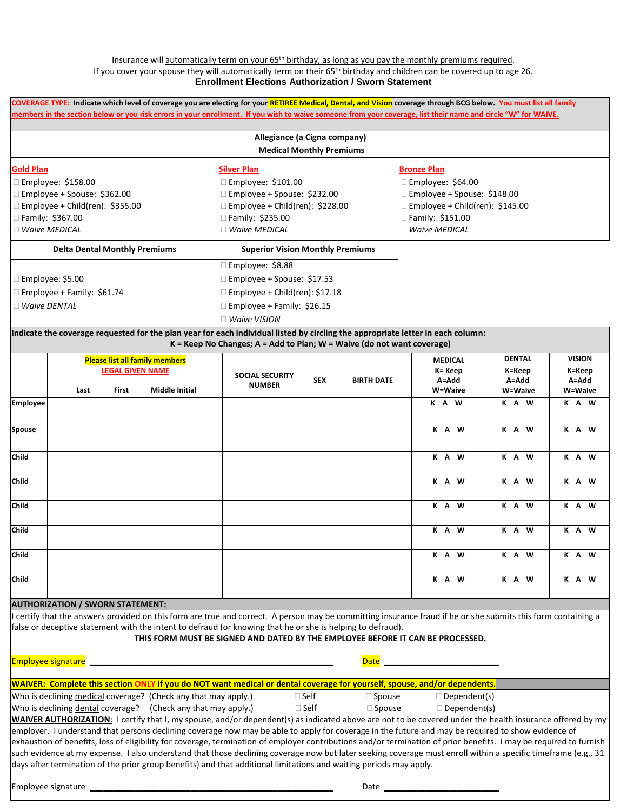#### Insurance will automatically term on your  $65<sup>th</sup>$  birthday, as long as you pay the monthly premiums required. If you cover your spouse they will automatically term on their 65th birthday and children can be covered up to age 26. **Enrollment Elections Authorization / Sworn Statement**

**COVERAGE TYPE: Indicate which level of coverage you are electing for your RETIREE Medical, Dental, and Vision coverage through BCG below. You must list all family members in the section below or you risk errors in your enrollment. If you wish to waive someone from your coverage, list their name and circle "W" for WAIVE.** 

|                                      | Allegiance (a Cigna company)            |                                  |
|--------------------------------------|-----------------------------------------|----------------------------------|
|                                      | <b>Medical Monthly Premiums</b>         |                                  |
| <b>Gold Plan</b>                     | <b>Silver Plan</b>                      | <b>Bronze Plan</b>               |
| Employee: \$158.00                   | Employee: \$101.00                      | Employee: $$64.00$               |
| Employee + Spouse: \$362.00          | Employee + Spouse: \$232.00             | Employee + Spouse: \$148.00      |
| Employee + Child(ren): $$355.00$     | Employee + Child(ren): $$228.00$        | Employee + Child(ren): $$145.00$ |
| Family: \$367.00                     | Family: \$235.00                        | Family: \$151.00                 |
| <b>Waive MEDICAL</b>                 | <b>Waive MEDICAL</b>                    | <b>Waive MEDICAL</b>             |
| <b>Delta Dental Monthly Premiums</b> | <b>Superior Vision Monthly Premiums</b> |                                  |
|                                      | Employee: \$8.88                        |                                  |
| Employee: \$5.00                     | Employee + Spouse: \$17.53              |                                  |
| Employee + Family: $$61.74$          | Employee + Child(ren): $$17.18$         |                                  |
| <b>Waive DENTAL</b>                  | Employee + Family: \$26.15              |                                  |
|                                      | <b>Waive VISION</b>                     |                                  |

**Indicate the coverage requested for the plan year for each individual listed by circling the appropriate letter in each column: K = Keep No Changes; A = Add to Plan; W = Waive (do not want coverage)**

|                 |      | <b>LEGAL GIVEN NAME</b> | <b>Please list all family members</b> | <b>SOCIAL SECURITY</b> |            |                   | <b>MEDICAL</b><br>K= Keep | <b>DENTAL</b><br>K=Keep | <b>VISION</b><br>K=Keep |
|-----------------|------|-------------------------|---------------------------------------|------------------------|------------|-------------------|---------------------------|-------------------------|-------------------------|
|                 | Last | <b>First</b>            | <b>Middle Initial</b>                 | <b>NUMBER</b>          | <b>SEX</b> | <b>BIRTH DATE</b> | A=Add<br>W=Waive          | A=Add<br>W=Waive        | A=Add<br>W=Waive        |
| <b>Employee</b> |      |                         |                                       |                        |            |                   | K A W                     | K A W                   | K A W                   |
| <b>Spouse</b>   |      |                         |                                       |                        |            |                   | K A W                     | K A W                   | K A W                   |
| <b>Child</b>    |      |                         |                                       |                        |            |                   | K A W                     | K A W                   | K A W                   |
| Child           |      |                         |                                       |                        |            |                   | K A W                     | K A W                   | K A W                   |
| <b>Child</b>    |      |                         |                                       |                        |            |                   | K A W                     | K A W                   | K A W                   |
| <b>Child</b>    |      |                         |                                       |                        |            |                   | K A W                     | K A W                   | K A W                   |
| <b>Child</b>    |      |                         |                                       |                        |            |                   | K A W                     | K A W                   | K A W                   |
| <b>Child</b>    |      |                         |                                       |                        |            |                   | K A W                     | K A W                   | K A W                   |

## **AUTHORIZATION / SWORN STATEMENT:**

I certify that the answers provided on this form are true and correct. A person may be committing insurance fraud if he or she submits this form containing a false or deceptive statement with the intent to defraud (or knowing that he or she is helping to defraud).

### **THIS FORM MUST BE SIGNED AND DATED BY THE EMPLOYEE BEFORE IT CAN BE PROCESSED.**

Employee signature and the state of the state of the state of the state of the state  $\Box$ 

#### **WAIVER: Complete this section ONLY if you do NOT want medical or dental coverage for yourself, spouse, and/or dependents.**

Who is declining medical coverage? (Check any that may apply.)  $\Box$  Self  $\Box$  Spouse  $\Box$  Dependent(s)

Who is declining dental coverage? (Check any that may apply.)  $\Box$  Self  $\Box$  Spouse  $\Box$  Dependent(s)

**WAIVER AUTHORIZATION**: I certify that I, my spouse, and/or dependent(s) as indicated above are not to be covered under the health insurance offered by my employer. I understand that persons declining coverage now may be able to apply for coverage in the future and may be required to show evidence of exhaustion of benefits, loss of eligibility for coverage, termination of employer contributions and/or termination of prior benefits. I may be required to furnish such evidence at my expense. I also understand that those declining coverage now but later seeking coverage must enroll within a specific timeframe (e.g., 31 days after termination of the prior group benefits) and that additional limitations and waiting periods may apply.

Employee signature \_\_\_\_\_\_\_\_\_\_\_\_\_\_\_\_\_\_\_\_\_\_\_\_\_\_\_\_\_\_\_\_\_\_\_\_\_\_\_\_\_\_\_\_\_\_\_\_\_\_\_\_\_ Date \_\_\_\_\_\_\_\_\_\_\_\_\_\_\_\_\_\_\_\_\_\_\_\_\_